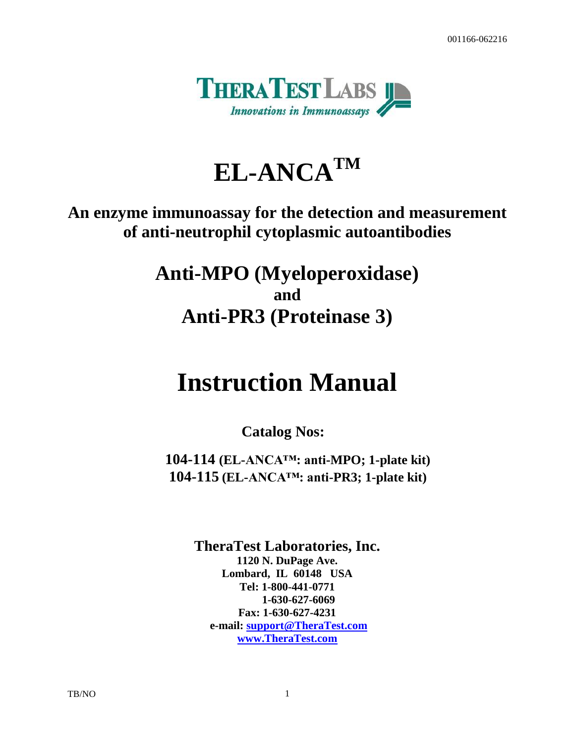001166-062216



# **EL-ANCATM**

## **An enzyme immunoassay for the detection and measurement of anti-neutrophil cytoplasmic autoantibodies**

**Anti-MPO (Myeloperoxidase) and Anti-PR3 (Proteinase 3)**

# **Instruction Manual**

**Catalog Nos:**

**104-114 (EL-ANCA™: anti-MPO; 1-plate kit) 104-115 (EL-ANCA™: anti-PR3; 1-plate kit)**

> **TheraTest Laboratories, Inc. 1120 N. DuPage Ave. Lombard, IL 60148 USA Tel: 1-800-441-0771 1-630-627-6069 Fax: 1-630-627-4231 e-mail: [support@TheraTest.com](mailto:sm@TheraTest.com) [www.TheraTest.com](http://www.theratest.com/)**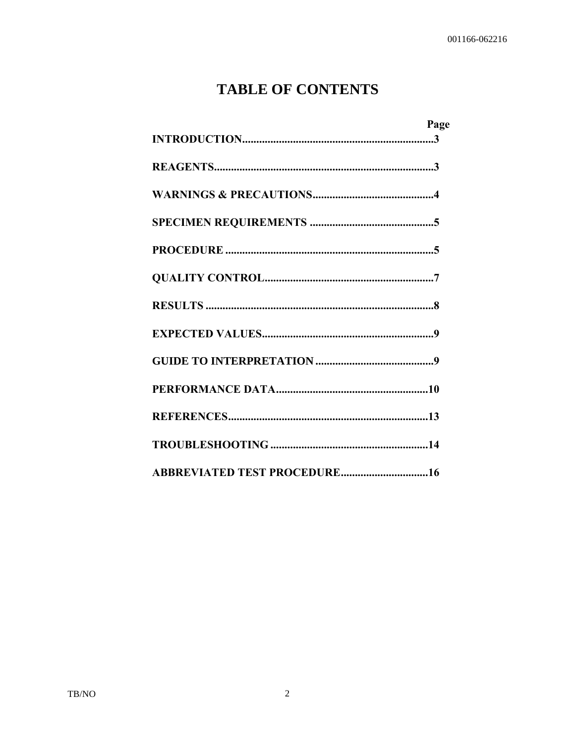## **TABLE OF CONTENTS**

| Page                         |
|------------------------------|
|                              |
|                              |
|                              |
|                              |
|                              |
|                              |
|                              |
|                              |
|                              |
|                              |
|                              |
|                              |
| ABBREVIATED TEST PROCEDURE16 |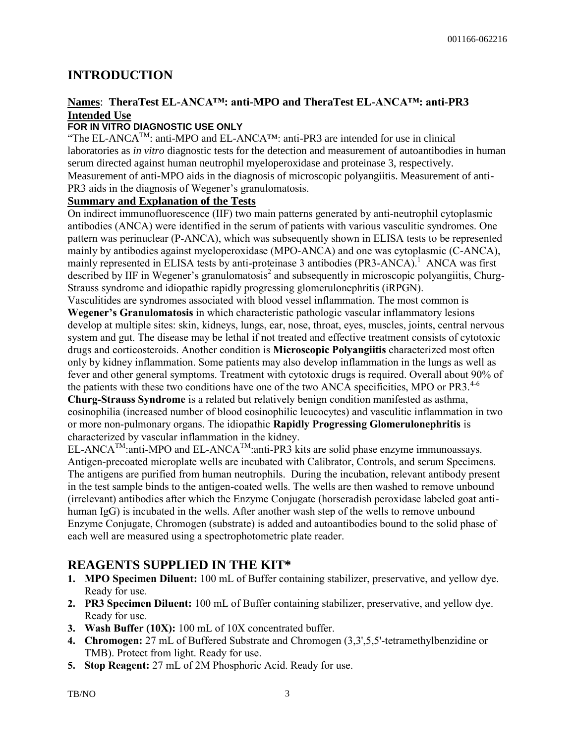## **INTRODUCTION**

#### **Names**: **TheraTest EL-ANCA™: anti-MPO and TheraTest EL-ANCA™: anti-PR3 Intended Use**

#### **FOR IN VITRO DIAGNOSTIC USE ONLY**

"The EL-ANCA<sup>TM</sup>: anti-MPO and EL-ANCA<sup>TM</sup>: anti-PR3 are intended for use in clinical laboratories as *in vitro* diagnostic tests for the detection and measurement of autoantibodies in human serum directed against human neutrophil myeloperoxidase and proteinase 3, respectively. Measurement of anti-MPO aids in the diagnosis of microscopic polyangiitis. Measurement of anti-PR3 aids in the diagnosis of Wegener's granulomatosis.

#### **Summary and Explanation of the Tests**

On indirect immunofluorescence (IIF) two main patterns generated by anti-neutrophil cytoplasmic antibodies (ANCA) were identified in the serum of patients with various vasculitic syndromes. One pattern was perinuclear (P-ANCA), which was subsequently shown in ELISA tests to be represented mainly by antibodies against myeloperoxidase (MPO-ANCA) and one was cytoplasmic (C-ANCA), mainly represented in ELISA tests by anti-proteinase 3 antibodies (PR3-ANCA).<sup>1</sup> ANCA was first described by IIF in Wegener's granulomatosis<sup>2</sup> and subsequently in microscopic polyangiitis, Churg-Strauss syndrome and idiopathic rapidly progressing glomerulonephritis (iRPGN).

Vasculitides are syndromes associated with blood vessel inflammation. The most common is **Wegener's Granulomatosis** in which characteristic pathologic vascular inflammatory lesions

develop at multiple sites: skin, kidneys, lungs, ear, nose, throat, eyes, muscles, joints, central nervous system and gut. The disease may be lethal if not treated and effective treatment consists of cytotoxic drugs and corticosteroids. Another condition is **Microscopic Polyangiitis** characterized most often only by kidney inflammation. Some patients may also develop inflammation in the lungs as well as fever and other general symptoms. Treatment with cytotoxic drugs is required. Overall about 90% of the patients with these two conditions have one of the two ANCA specificities, MPO or PR3.<sup>4-6</sup>

**Churg-Strauss Syndrome** is a related but relatively benign condition manifested as asthma, eosinophilia (increased number of blood eosinophilic leucocytes) and vasculitic inflammation in two or more non-pulmonary organs. The idiopathic **Rapidly Progressing Glomerulonephritis** is characterized by vascular inflammation in the kidney.

 $EL-ANCA^{TM}$ :anti-MPO and  $EL-ANCA^{TM}$ :anti-PR3 kits are solid phase enzyme immunoassays. Antigen-precoated microplate wells are incubated with Calibrator, Controls, and serum Specimens. The antigens are purified from human neutrophils. During the incubation, relevant antibody present in the test sample binds to the antigen-coated wells. The wells are then washed to remove unbound (irrelevant) antibodies after which the Enzyme Conjugate (horseradish peroxidase labeled goat antihuman IgG) is incubated in the wells. After another wash step of the wells to remove unbound Enzyme Conjugate, Chromogen (substrate) is added and autoantibodies bound to the solid phase of each well are measured using a spectrophotometric plate reader.

## **REAGENTS SUPPLIED IN THE KIT\***

- **1. MPO Specimen Diluent:** 100 mL of Buffer containing stabilizer, preservative, and yellow dye. Ready for use*.*
- **2. PR3 Specimen Diluent:** 100 mL of Buffer containing stabilizer, preservative, and yellow dye. Ready for use*.*
- **3. Wash Buffer (10X):** 100 mL of 10X concentrated buffer.
- **4. Chromogen:** 27 mL of Buffered Substrate and Chromogen (3,3',5,5'-tetramethylbenzidine or TMB). Protect from light. Ready for use.
- **5. Stop Reagent:** 27 mL of 2M Phosphoric Acid. Ready for use.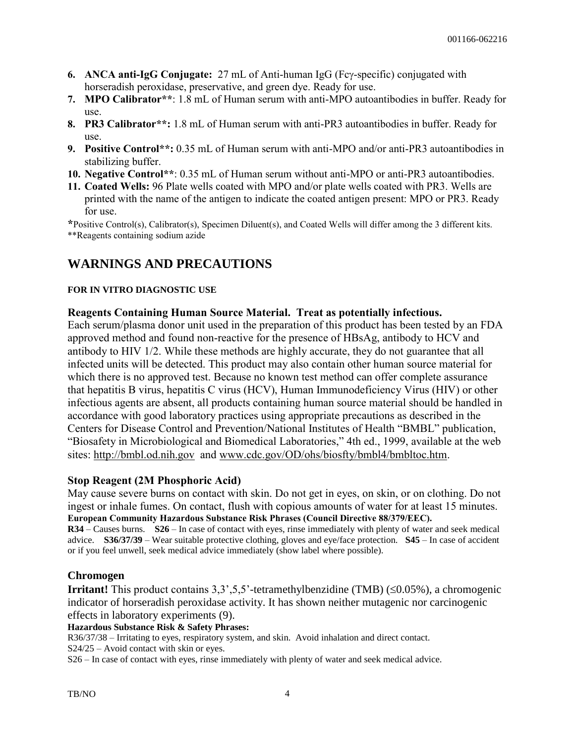- **6. ANCA anti-IgG Conjugate:** 27 mL of Anti-human IgG (Fcy-specific) conjugated with horseradish peroxidase, preservative, and green dye. Ready for use.
- **7. MPO Calibrator\*\***: 1.8 mL of Human serum with anti-MPO autoantibodies in buffer. Ready for use.
- **8. PR3 Calibrator\*\*:** 1.8 mL of Human serum with anti-PR3 autoantibodies in buffer. Ready for use.
- **9. Positive Control\*\*:** 0.35 mL of Human serum with anti-MPO and/or anti-PR3 autoantibodies in stabilizing buffer.
- **10. Negative Control\*\***: 0.35 mL of Human serum without anti-MPO or anti-PR3 autoantibodies.
- **11. Coated Wells:** 96 Plate wells coated with MPO and/or plate wells coated with PR3. Wells are printed with the name of the antigen to indicate the coated antigen present: MPO or PR3. Ready for use.

**\***Positive Control(s), Calibrator(s), Specimen Diluent(s), and Coated Wells will differ among the 3 different kits. \*\*Reagents containing sodium azide

## **WARNINGS AND PRECAUTIONS**

#### **FOR IN VITRO DIAGNOSTIC USE**

#### **Reagents Containing Human Source Material. Treat as potentially infectious.**

Each serum/plasma donor unit used in the preparation of this product has been tested by an FDA approved method and found non-reactive for the presence of HBsAg, antibody to HCV and antibody to HIV 1/2. While these methods are highly accurate, they do not guarantee that all infected units will be detected. This product may also contain other human source material for which there is no approved test. Because no known test method can offer complete assurance that hepatitis B virus, hepatitis C virus (HCV), Human Immunodeficiency Virus (HIV) or other infectious agents are absent, all products containing human source material should be handled in accordance with good laboratory practices using appropriate precautions as described in the Centers for Disease Control and Prevention/National Institutes of Health "BMBL" publication, "Biosafety in Microbiological and Biomedical Laboratories," 4th ed., 1999, available at the web sites: http://bmbl.od.nih.gov and www.cdc.gov/OD/ohs/biosfty/bmbl4/bmbltoc.htm.

#### **Stop Reagent (2M Phosphoric Acid)**

May cause severe burns on contact with skin. Do not get in eyes, on skin, or on clothing. Do not ingest or inhale fumes. On contact, flush with copious amounts of water for at least 15 minutes. **European Community Hazardous Substance Risk Phrases (Council Directive 88/379/EEC).**

**R34** – Causes burns. **S26** – In case of contact with eyes, rinse immediately with plenty of water and seek medical advice. **S36/37/39** – Wear suitable protective clothing, gloves and eye/face protection. **S45** – In case of accident or if you feel unwell, seek medical advice immediately (show label where possible).

#### **Chromogen**

**Irritant!** This product contains  $3,3,5,5$ '-tetramethylbenzidine (TMB) ( $\leq 0.05\%$ ), a chromogenic indicator of horseradish peroxidase activity. It has shown neither mutagenic nor carcinogenic effects in laboratory experiments (9).

**Hazardous Substance Risk & Safety Phrases:**

R36/37/38 – Irritating to eyes, respiratory system, and skin. Avoid inhalation and direct contact.

S24/25 – Avoid contact with skin or eyes.

S26 – In case of contact with eyes, rinse immediately with plenty of water and seek medical advice.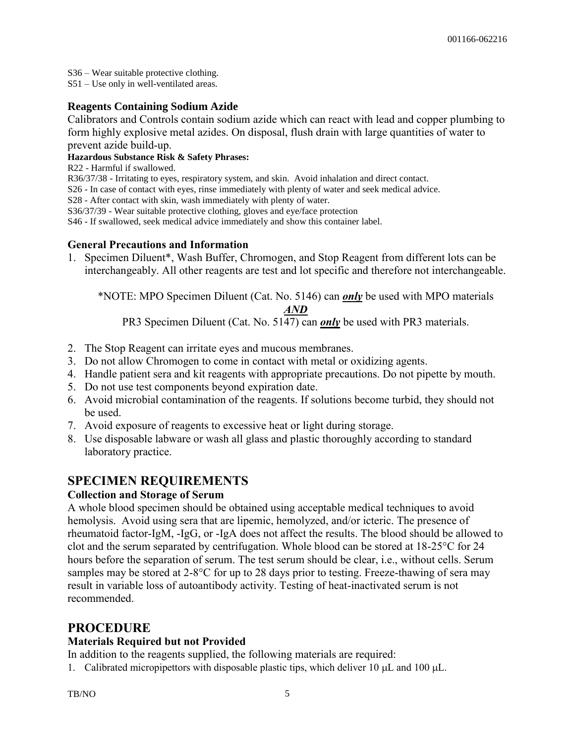S36 – Wear suitable protective clothing.

S51 – Use only in well-ventilated areas.

#### **Reagents Containing Sodium Azide**

Calibrators and Controls contain sodium azide which can react with lead and copper plumbing to form highly explosive metal azides. On disposal, flush drain with large quantities of water to prevent azide build-up.

#### **Hazardous Substance Risk & Safety Phrases:**

R22 - Harmful if swallowed.

R36/37/38 - Irritating to eyes, respiratory system, and skin. Avoid inhalation and direct contact.

S26 - In case of contact with eyes, rinse immediately with plenty of water and seek medical advice.

S28 - After contact with skin, wash immediately with plenty of water.

S36/37/39 - Wear suitable protective clothing, gloves and eye/face protection

S46 - If swallowed, seek medical advice immediately and show this container label.

#### **General Precautions and Information**

1. Specimen Diluent\*, Wash Buffer, Chromogen, and Stop Reagent from different lots can be interchangeably. All other reagents are test and lot specific and therefore not interchangeable.

\*NOTE: MPO Specimen Diluent (Cat. No. 5146) can *only* be used with MPO materials

#### *AND*

PR3 Specimen Diluent (Cat. No. 5147) can *only* be used with PR3 materials.

- 2. The Stop Reagent can irritate eyes and mucous membranes.
- 3. Do not allow Chromogen to come in contact with metal or oxidizing agents.
- 4. Handle patient sera and kit reagents with appropriate precautions. Do not pipette by mouth.
- 5. Do not use test components beyond expiration date.
- 6. Avoid microbial contamination of the reagents. If solutions become turbid, they should not be used.
- 7. Avoid exposure of reagents to excessive heat or light during storage.
- 8. Use disposable labware or wash all glass and plastic thoroughly according to standard laboratory practice.

## **SPECIMEN REQUIREMENTS**

#### **Collection and Storage of Serum**

A whole blood specimen should be obtained using acceptable medical techniques to avoid hemolysis. Avoid using sera that are lipemic, hemolyzed, and/or icteric. The presence of rheumatoid factor-IgM, -IgG, or -IgA does not affect the results. The blood should be allowed to clot and the serum separated by centrifugation. Whole blood can be stored at 18-25°C for 24 hours before the separation of serum. The test serum should be clear, i.e., without cells. Serum samples may be stored at 2-8°C for up to 28 days prior to testing. Freeze-thawing of sera may result in variable loss of autoantibody activity. Testing of heat-inactivated serum is not recommended.

#### **PROCEDURE**

#### **Materials Required but not Provided**

In addition to the reagents supplied, the following materials are required:

1. Calibrated micropipettors with disposable plastic tips, which deliver 10  $\mu$ L and 100  $\mu$ L.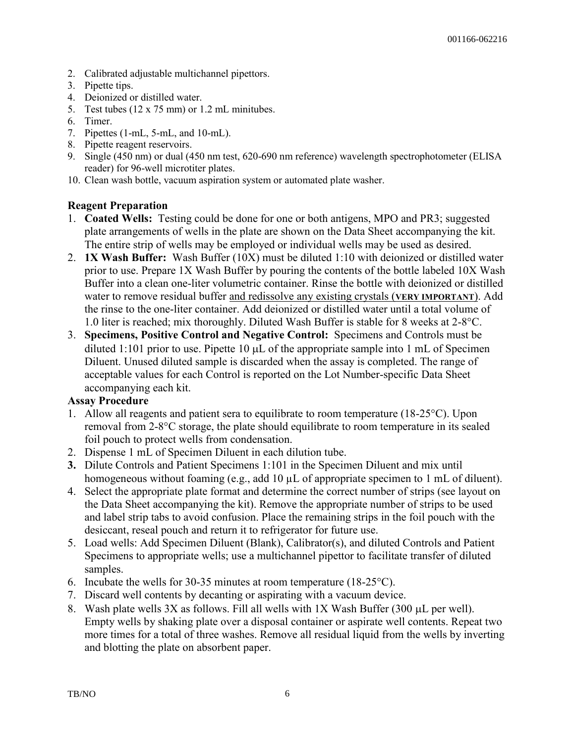- 2. Calibrated adjustable multichannel pipettors.
- 3. Pipette tips.
- 4. Deionized or distilled water.
- 5. Test tubes (12 x 75 mm) or 1.2 mL minitubes.
- 6. Timer.
- 7. Pipettes (1-mL, 5-mL, and 10-mL).
- 8. Pipette reagent reservoirs.
- 9. Single (450 nm) or dual (450 nm test, 620-690 nm reference) wavelength spectrophotometer (ELISA reader) for 96-well microtiter plates.
- 10. Clean wash bottle, vacuum aspiration system or automated plate washer.

#### **Reagent Preparation**

- 1. **Coated Wells:** Testing could be done for one or both antigens, MPO and PR3; suggested plate arrangements of wells in the plate are shown on the Data Sheet accompanying the kit. The entire strip of wells may be employed or individual wells may be used as desired.
- 2. **1X Wash Buffer:** Wash Buffer (10X) must be diluted 1:10 with deionized or distilled water prior to use. Prepare 1X Wash Buffer by pouring the contents of the bottle labeled 10X Wash Buffer into a clean one-liter volumetric container. Rinse the bottle with deionized or distilled water to remove residual buffer and redissolve any existing crystals (**VERY IMPORTANT**). Add the rinse to the one-liter container. Add deionized or distilled water until a total volume of 1.0 liter is reached; mix thoroughly. Diluted Wash Buffer is stable for 8 weeks at 2-8°C.
- 3. **Specimens, Positive Control and Negative Control:** Specimens and Controls must be diluted 1:101 prior to use. Pipette 10  $\mu$ L of the appropriate sample into 1 mL of Specimen Diluent. Unused diluted sample is discarded when the assay is completed. The range of acceptable values for each Control is reported on the Lot Number-specific Data Sheet accompanying each kit.

#### **Assay Procedure**

- 1. Allow all reagents and patient sera to equilibrate to room temperature (18-25°C). Upon removal from 2-8°C storage, the plate should equilibrate to room temperature in its sealed foil pouch to protect wells from condensation.
- 2. Dispense 1 mL of Specimen Diluent in each dilution tube.
- **3.** Dilute Controls and Patient Specimens 1:101 in the Specimen Diluent and mix until homogeneous without foaming (e.g., add 10  $\mu$ L of appropriate specimen to 1 mL of diluent).
- 4. Select the appropriate plate format and determine the correct number of strips (see layout on the Data Sheet accompanying the kit). Remove the appropriate number of strips to be used and label strip tabs to avoid confusion. Place the remaining strips in the foil pouch with the desiccant, reseal pouch and return it to refrigerator for future use.
- 5. Load wells: Add Specimen Diluent (Blank), Calibrator(s), and diluted Controls and Patient Specimens to appropriate wells; use a multichannel pipettor to facilitate transfer of diluted samples.
- 6. Incubate the wells for 30-35 minutes at room temperature (18-25°C).
- 7. Discard well contents by decanting or aspirating with a vacuum device.
- 8. Wash plate wells  $3X$  as follows. Fill all wells with  $1X$  Wash Buffer (300  $\mu$ L per well). Empty wells by shaking plate over a disposal container or aspirate well contents. Repeat two more times for a total of three washes. Remove all residual liquid from the wells by inverting and blotting the plate on absorbent paper.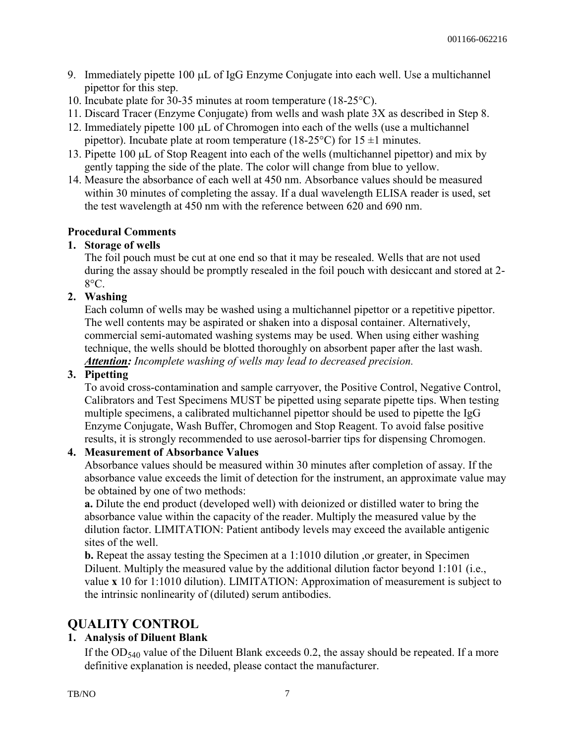- 9. Immediately pipette  $100 \mu L$  of IgG Enzyme Conjugate into each well. Use a multichannel pipettor for this step.
- 10. Incubate plate for 30-35 minutes at room temperature (18-25°C).
- 11. Discard Tracer (Enzyme Conjugate) from wells and wash plate 3X as described in Step 8.
- 12. Immediately pipette  $100 \mu L$  of Chromogen into each of the wells (use a multichannel pipettor). Incubate plate at room temperature (18-25<sup>o</sup>C) for  $15 \pm 1$  minutes.
- 13. Pipette 100  $\mu$ L of Stop Reagent into each of the wells (multichannel pipettor) and mix by gently tapping the side of the plate. The color will change from blue to yellow.
- 14. Measure the absorbance of each well at 450 nm. Absorbance values should be measured within 30 minutes of completing the assay. If a dual wavelength ELISA reader is used, set the test wavelength at 450 nm with the reference between 620 and 690 nm.

#### **Procedural Comments**

#### **1. Storage of wells**

The foil pouch must be cut at one end so that it may be resealed. Wells that are not used during the assay should be promptly resealed in the foil pouch with desiccant and stored at 2- 8°C.

#### **2. Washing**

Each column of wells may be washed using a multichannel pipettor or a repetitive pipettor. The well contents may be aspirated or shaken into a disposal container. Alternatively, commercial semi-automated washing systems may be used. When using either washing technique, the wells should be blotted thoroughly on absorbent paper after the last wash. *Attention: Incomplete washing of wells may lead to decreased precision.*

#### **3. Pipetting**

To avoid cross-contamination and sample carryover, the Positive Control, Negative Control, Calibrators and Test Specimens MUST be pipetted using separate pipette tips. When testing multiple specimens, a calibrated multichannel pipettor should be used to pipette the IgG Enzyme Conjugate, Wash Buffer, Chromogen and Stop Reagent. To avoid false positive results, it is strongly recommended to use aerosol-barrier tips for dispensing Chromogen.

#### **4. Measurement of Absorbance Values**

Absorbance values should be measured within 30 minutes after completion of assay. If the absorbance value exceeds the limit of detection for the instrument, an approximate value may be obtained by one of two methods:

**a.** Dilute the end product (developed well) with deionized or distilled water to bring the absorbance value within the capacity of the reader. Multiply the measured value by the dilution factor. LIMITATION: Patient antibody levels may exceed the available antigenic sites of the well.

**b.** Repeat the assay testing the Specimen at a 1:1010 dilution , or greater, in Specimen Diluent. Multiply the measured value by the additional dilution factor beyond 1:101 (i.e., value **x** 10 for 1:1010 dilution). LIMITATION: Approximation of measurement is subject to the intrinsic nonlinearity of (diluted) serum antibodies.

## **QUALITY CONTROL**

#### **1. Analysis of Diluent Blank**

If the  $OD_{540}$  value of the Diluent Blank exceeds 0.2, the assay should be repeated. If a more definitive explanation is needed, please contact the manufacturer.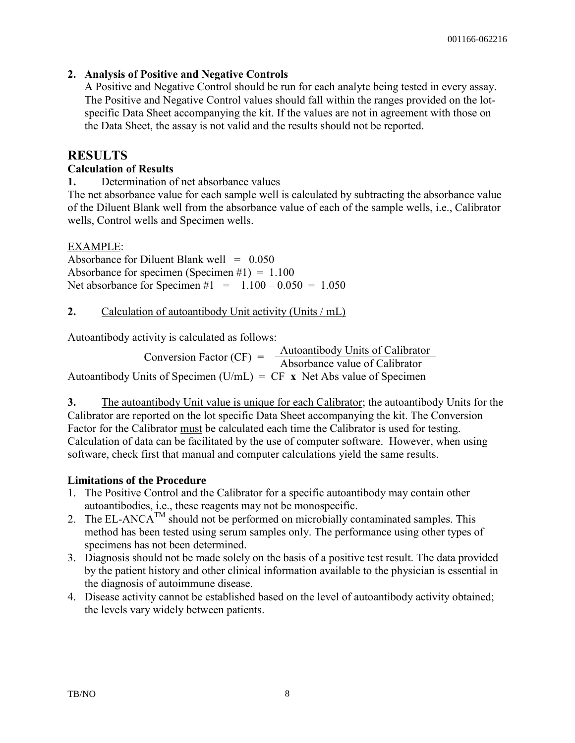#### **2. Analysis of Positive and Negative Controls**

A Positive and Negative Control should be run for each analyte being tested in every assay. The Positive and Negative Control values should fall within the ranges provided on the lotspecific Data Sheet accompanying the kit. If the values are not in agreement with those on the Data Sheet, the assay is not valid and the results should not be reported.

### **RESULTS**

#### **Calculation of Results**

**1.** Determination of net absorbance values

The net absorbance value for each sample well is calculated by subtracting the absorbance value of the Diluent Blank well from the absorbance value of each of the sample wells, i.e., Calibrator wells, Control wells and Specimen wells.

#### EXAMPLE:

Absorbance for Diluent Blank well  $= 0.050$ Absorbance for specimen (Specimen  $#1$ ) = 1.100 Net absorbance for Specimen  $#1 = 1.100 - 0.050 = 1.050$ 

**2.** Calculation of autoantibody Unit activity (Units / mL)

Autoantibody activity is calculated as follows:

Conversion Factor  $(CF) = \frac{\text{Autoantibody Units of California}}{\text{Abearbence values of California}}$ Absorbance value of Calibrator Autoantibody Units of Specimen (U/mL) =  $CF \times$  Net Abs value of Specimen

**3.** The autoantibody Unit value is unique for each Calibrator; the autoantibody Units for the Calibrator are reported on the lot specific Data Sheet accompanying the kit. The Conversion Factor for the Calibrator must be calculated each time the Calibrator is used for testing. Calculation of data can be facilitated by the use of computer software. However, when using software, check first that manual and computer calculations yield the same results.

#### **Limitations of the Procedure**

- 1. The Positive Control and the Calibrator for a specific autoantibody may contain other autoantibodies, i.e., these reagents may not be monospecific.
- 2. The EL-ANC $A^{TM}$  should not be performed on microbially contaminated samples. This method has been tested using serum samples only. The performance using other types of specimens has not been determined.
- 3. Diagnosis should not be made solely on the basis of a positive test result. The data provided by the patient history and other clinical information available to the physician is essential in the diagnosis of autoimmune disease.
- 4. Disease activity cannot be established based on the level of autoantibody activity obtained; the levels vary widely between patients.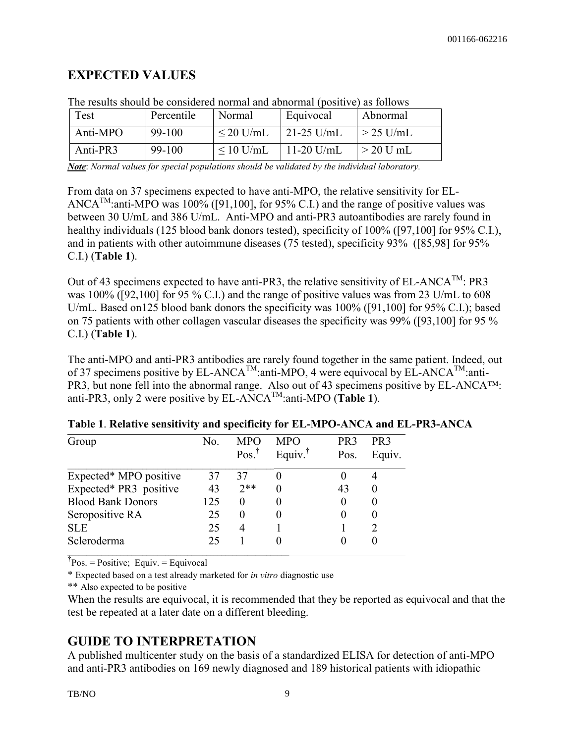## **EXPECTED VALUES**

| Test     | Percentile | Normal         | Equivocal    | Abnormal    |
|----------|------------|----------------|--------------|-------------|
| Anti-MPO | 99-100     | $\leq$ 20 U/mL | $21-25$ U/mL | $>$ 25 U/mL |
| Anti-PR3 | 99-100     | $\leq 10$ U/mL | $11-20$ U/mL | $>$ 20 U mL |

The results should be considered normal and abnormal (positive) as follows

*Note*: *Normal values for special populations should be validated by the individual laboratory.* 

From data on 37 specimens expected to have anti-MPO, the relative sensitivity for EL-ANCA<sup>TM</sup>: anti-MPO was 100% ([91,100], for 95% C.I.) and the range of positive values was between 30 U/mL and 386 U/mL. Anti-MPO and anti-PR3 autoantibodies are rarely found in healthy individuals (125 blood bank donors tested), specificity of 100% ([97,100] for 95% C.I.), and in patients with other autoimmune diseases (75 tested), specificity 93% ([85,98] for 95% C.I.) (**Table 1**).

Out of 43 specimens expected to have anti-PR3, the relative sensitivity of EL-ANCA<sup>TM</sup>: PR3 was 100% ([92,100] for 95 % C.I.) and the range of positive values was from 23 U/mL to 608 U/mL. Based on125 blood bank donors the specificity was 100% ([91,100] for 95% C.I.); based on 75 patients with other collagen vascular diseases the specificity was 99% ([93,100] for 95 % C.I.) (**Table 1**).

The anti-MPO and anti-PR3 antibodies are rarely found together in the same patient. Indeed, out of 37 specimens positive by EL-ANCA<sup>TM</sup>:anti-MPO, 4 were equivocal by EL-ANCA<sup>TM</sup>:anti-PR3, but none fell into the abnormal range. Also out of 43 specimens positive by EL-ANCA™: anti-PR3, only 2 were positive by EL-ANCA<sup>TM</sup>:anti-MPO (**Table 1**).

| Group                    | No. | <b>MPC</b><br>Pos. <sup>†</sup> | MPO<br>Equiv. <sup>†</sup> | PR <sub>3</sub><br>Pos. | PR <sub>3</sub><br>Equiv. |
|--------------------------|-----|---------------------------------|----------------------------|-------------------------|---------------------------|
| Expected* MPO positive   | 37  | 37                              |                            |                         |                           |
| Expected* PR3 positive   | 43  | $2**$                           |                            | 43                      |                           |
| <b>Blood Bank Donors</b> | 125 | 0                               |                            |                         |                           |
| Seropositive RA          | 25  | $_{0}$                          |                            |                         |                           |
| <b>SLE</b>               | 25  |                                 |                            |                         |                           |
| Scleroderma              | 25  |                                 |                            |                         |                           |

| Table 1. Relative sensitivity and specificity for EL-MPO-ANCA and EL-PR3-ANCA |  |  |  |
|-------------------------------------------------------------------------------|--|--|--|
|-------------------------------------------------------------------------------|--|--|--|

 $\phi$ <sup>†</sup> Pos. = Positive; Equiv. = Equivocal

\* Expected based on a test already marketed for *in vitro* diagnostic use

\*\* Also expected to be positive

When the results are equivocal, it is recommended that they be reported as equivocal and that the test be repeated at a later date on a different bleeding.

## **GUIDE TO INTERPRETATION**

A published multicenter study on the basis of a standardized ELISA for detection of anti-MPO and anti-PR3 antibodies on 169 newly diagnosed and 189 historical patients with idiopathic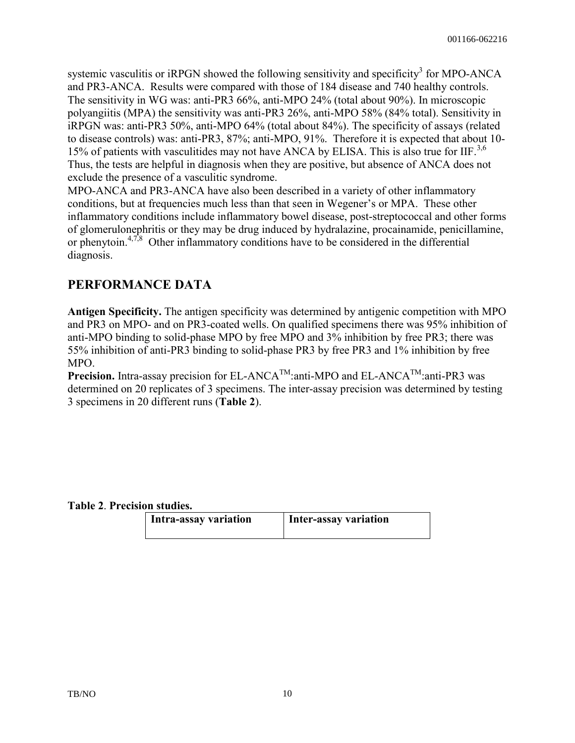systemic vasculitis or iRPGN showed the following sensitivity and specificity<sup>3</sup> for MPO-ANCA and PR3-ANCA. Results were compared with those of 184 disease and 740 healthy controls. The sensitivity in WG was: anti-PR3 66%, anti-MPO 24% (total about 90%). In microscopic polyangiitis (MPA) the sensitivity was anti-PR3 26%, anti-MPO 58% (84% total). Sensitivity in iRPGN was: anti-PR3 50%, anti-MPO 64% (total about 84%). The specificity of assays (related to disease controls) was: anti-PR3, 87%; anti-MPO, 91%. Therefore it is expected that about 10- 15% of patients with vasculitides may not have ANCA by ELISA. This is also true for IIF.<sup>3,6</sup> Thus, the tests are helpful in diagnosis when they are positive, but absence of ANCA does not exclude the presence of a vasculitic syndrome.

MPO-ANCA and PR3-ANCA have also been described in a variety of other inflammatory conditions, but at frequencies much less than that seen in Wegener's or MPA. These other inflammatory conditions include inflammatory bowel disease, post-streptococcal and other forms of glomerulonephritis or they may be drug induced by hydralazine, procainamide, penicillamine, or phenytoin.<sup>4,7,8</sup> Other inflammatory conditions have to be considered in the differential diagnosis.

## **PERFORMANCE DATA**

**Antigen Specificity.** The antigen specificity was determined by antigenic competition with MPO and PR3 on MPO- and on PR3-coated wells. On qualified specimens there was 95% inhibition of anti-MPO binding to solid-phase MPO by free MPO and 3% inhibition by free PR3; there was 55% inhibition of anti-PR3 binding to solid-phase PR3 by free PR3 and 1% inhibition by free MPO.

**Precision.** Intra-assay precision for EL-ANCA<sup>TM</sup>:anti-MPO and EL-ANCA<sup>TM</sup>:anti-PR3 was determined on 20 replicates of 3 specimens. The inter-assay precision was determined by testing 3 specimens in 20 different runs (**Table 2**).

#### **Table 2**. **Precision studies.**

| Intra-assay variation | Inter-assay variation |
|-----------------------|-----------------------|
|                       |                       |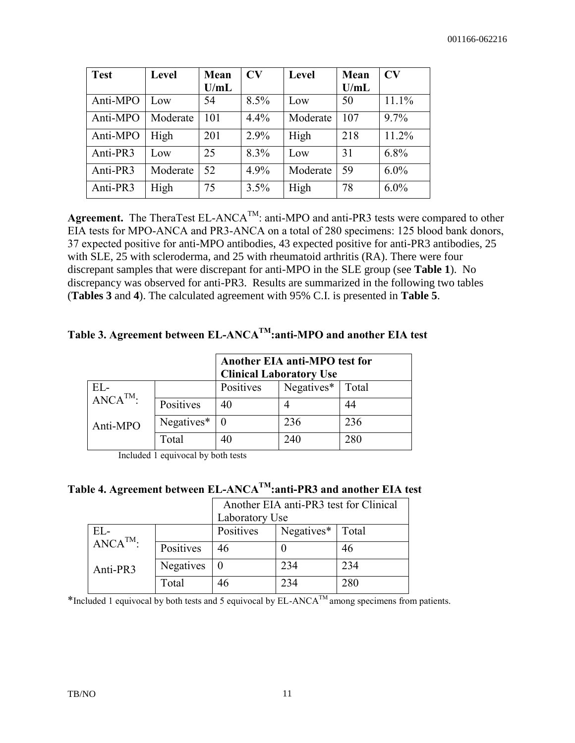| <b>Test</b> | <b>Level</b> | Mean | CV   | Level    | Mean | $\bf{CV}$ |
|-------------|--------------|------|------|----------|------|-----------|
|             |              | U/mL |      |          | U/mL |           |
| Anti-MPO    | Low          | 54   | 8.5% | Low      | 50   | 11.1%     |
| Anti-MPO    | Moderate     | 101  | 4.4% | Moderate | 107  | 9.7%      |
| Anti-MPO    | High         | 201  | 2.9% | High     | 218  | 11.2%     |
| Anti-PR3    | Low          | 25   | 8.3% | Low      | 31   | 6.8%      |
| Anti-PR3    | Moderate     | 52   | 4.9% | Moderate | 59   | $6.0\%$   |
| Anti-PR3    | High         | 75   | 3.5% | High     | 78   | $6.0\%$   |

**Agreement.** The TheraTest EL-ANCA<sup>TM</sup>: anti-MPO and anti-PR3 tests were compared to other EIA tests for MPO-ANCA and PR3-ANCA on a total of 280 specimens: 125 blood bank donors, 37 expected positive for anti-MPO antibodies, 43 expected positive for anti-PR3 antibodies, 25 with SLE, 25 with scleroderma, and 25 with rheumatoid arthritis (RA). There were four discrepant samples that were discrepant for anti-MPO in the SLE group (see **Table 1**). No discrepancy was observed for anti-PR3. Results are summarized in the following two tables (**Tables 3** and **4**). The calculated agreement with 95% C.I. is presented in **Table 5**.

### **Table 3. Agreement between EL-ANCATM:anti-MPO and another EIA test**

|                        |            | Another EIA anti-MPO test for<br><b>Clinical Laboratory Use</b> |               |       |  |
|------------------------|------------|-----------------------------------------------------------------|---------------|-------|--|
| EL-                    |            | Positives                                                       | $Negatives^*$ | Total |  |
| $\overline{ANCA}^{TM}$ | Positives  | 40                                                              |               | 44    |  |
| Anti-MPO               | Negatives* |                                                                 | 236           | 236   |  |
|                        | Total      | 40                                                              | 240           | 280   |  |

Included 1 equivocal by both tests

**Table 4. Agreement between EL-ANCATM:anti-PR3 and another EIA test**

|               |           | Another EIA anti-PR3 test for Clinical<br>Laboratory Use |                              |     |  |
|---------------|-----------|----------------------------------------------------------|------------------------------|-----|--|
| $EL-$         |           | Positives                                                | Negatives <sup>*</sup> Total |     |  |
| $ANCA^{TM}$ : | Positives | 46                                                       |                              | 46  |  |
| Anti-PR3      | Negatives | $\theta$                                                 | 234                          | 234 |  |
|               | Total     | 46                                                       | 234                          | 280 |  |

\*Included 1 equivocal by both tests and 5 equivocal by  $EL$ -ANCA<sup>TM</sup> among specimens from patients.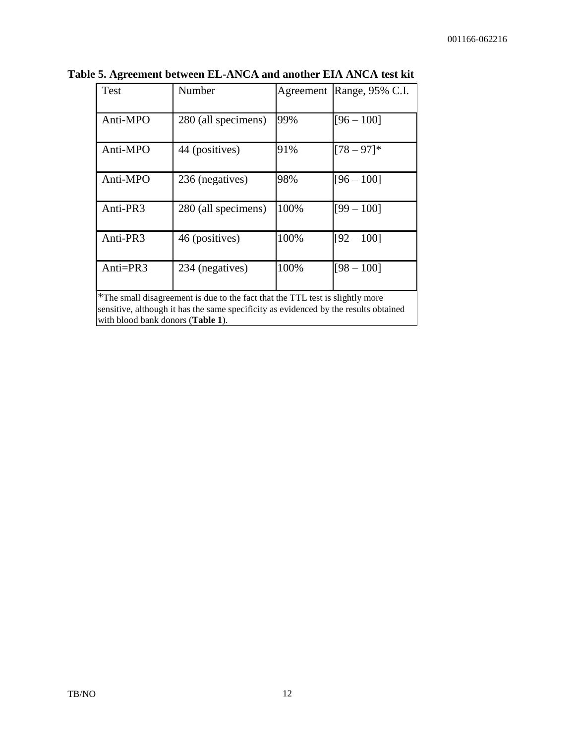| Test        | Number              |      | Agreement Range, 95% C.I. |
|-------------|---------------------|------|---------------------------|
| Anti-MPO    | 280 (all specimens) | 99%  | $[96 - 100]$              |
| Anti-MPO    | 44 (positives)      | 91%  | $[78 - 97]$ *             |
| Anti-MPO    | 236 (negatives)     | 98%  | $[96 - 100]$              |
| Anti-PR3    | 280 (all specimens) | 100% | $[99 - 100]$              |
| Anti-PR3    | 46 (positives)      | 100% | $[92 - 100]$              |
| Anti= $PR3$ | 234 (negatives)     | 100% | $[98 - 100]$              |

**Table 5. Agreement between EL-ANCA and another EIA ANCA test kit** 

\*The small disagreement is due to the fact that the TTL test is slightly more sensitive, although it has the same specificity as evidenced by the results obtained with blood bank donors (**Table 1**).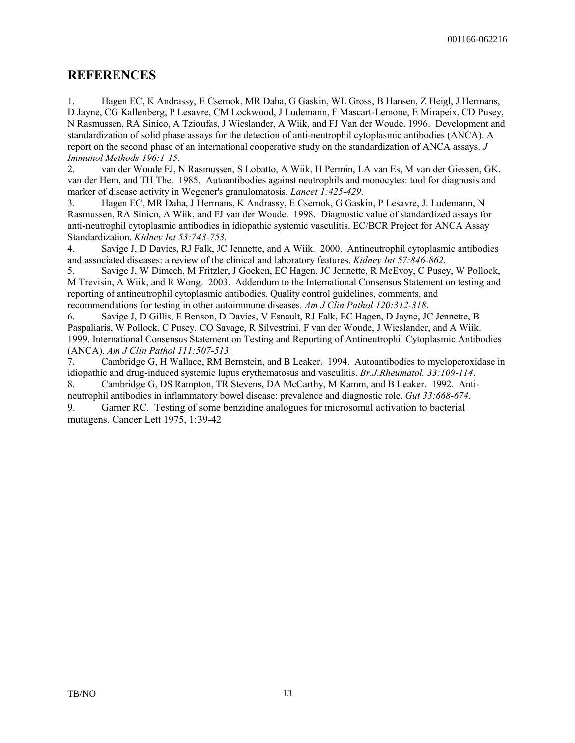#### **REFERENCES**

1. Hagen EC, K Andrassy, E Csernok, MR Daha, G Gaskin, WL Gross, B Hansen, Z Heigl, J Hermans, D Jayne, CG Kallenberg, P Lesavre, CM Lockwood, J Ludemann, F Mascart-Lemone, E Mirapeix, CD Pusey, N Rasmussen, RA Sinico, A Tzioufas, J Wieslander, A Wiik, and FJ Van der Woude. 1996. Development and standardization of solid phase assays for the detection of anti-neutrophil cytoplasmic antibodies (ANCA). A report on the second phase of an international cooperative study on the standardization of ANCA assays. *J Immunol Methods 196:1-15*.

2. van der Woude FJ, N Rasmussen, S Lobatto, A Wiik, H Permin, LA van Es, M van der Giessen, GK. van der Hem, and TH The. 1985. Autoantibodies against neutrophils and monocytes: tool for diagnosis and marker of disease activity in Wegener's granulomatosis. *Lancet 1:425-429*.

3. Hagen EC, MR Daha, J Hermans, K Andrassy, E Csernok, G Gaskin, P Lesavre, J. Ludemann, N Rasmussen, RA Sinico, A Wiik, and FJ van der Woude. 1998. Diagnostic value of standardized assays for anti-neutrophil cytoplasmic antibodies in idiopathic systemic vasculitis. EC/BCR Project for ANCA Assay Standardization. *Kidney Int 53:743-753*.

4. Savige J, D Davies, RJ Falk, JC Jennette, and A Wiik. 2000. Antineutrophil cytoplasmic antibodies and associated diseases: a review of the clinical and laboratory features. *Kidney Int 57:846-862*.

5. Savige J, W Dimech, M Fritzler, J Goeken, EC Hagen, JC Jennette, R McEvoy, C Pusey, W Pollock, M Trevisin, A Wiik, and R Wong. 2003. Addendum to the International Consensus Statement on testing and reporting of antineutrophil cytoplasmic antibodies. Quality control guidelines, comments, and recommendations for testing in other autoimmune diseases. *Am J Clin Pathol 120:312-318*.

6. Savige J, D Gillis, E Benson, D Davies, V Esnault, RJ Falk, EC Hagen, D Jayne, JC Jennette, B Paspaliaris, W Pollock, C Pusey, CO Savage, R Silvestrini, F van der Woude, J Wieslander, and A Wiik. 1999. International Consensus Statement on Testing and Reporting of Antineutrophil Cytoplasmic Antibodies (ANCA). *Am J Clin Pathol 111:507-513*.

7. Cambridge G, H Wallace, RM Bernstein, and B Leaker. 1994. Autoantibodies to myeloperoxidase in idiopathic and drug-induced systemic lupus erythematosus and vasculitis. *Br.J.Rheumatol. 33:109-114*. 8. Cambridge G, DS Rampton, TR Stevens, DA McCarthy, M Kamm, and B Leaker. 1992. Anti-

neutrophil antibodies in inflammatory bowel disease: prevalence and diagnostic role. *Gut 33:668-674*.

9. Garner RC. Testing of some benzidine analogues for microsomal activation to bacterial mutagens. Cancer Lett 1975, 1:39-42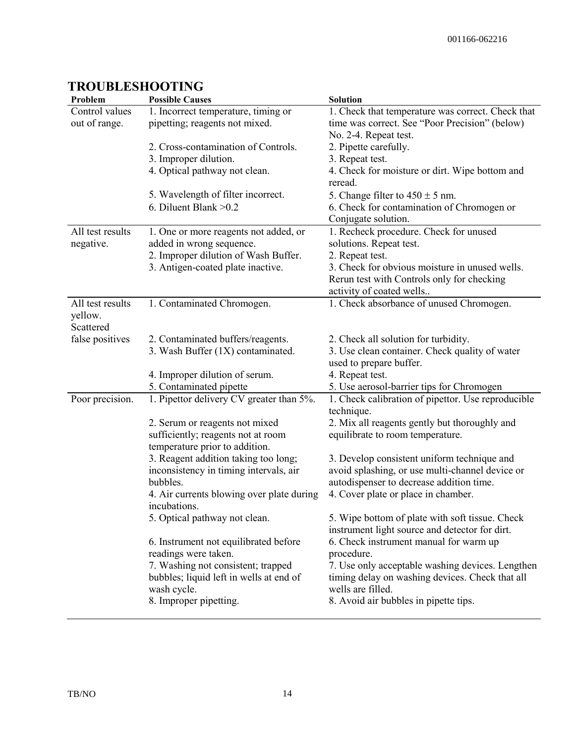| Problem          | <b>Possible Causes</b>                    | <b>Solution</b>                                                  |
|------------------|-------------------------------------------|------------------------------------------------------------------|
| Control values   | 1. Incorrect temperature, timing or       | 1. Check that temperature was correct. Check that                |
| out of range.    | pipetting; reagents not mixed.            | time was correct. See "Poor Precision" (below)                   |
|                  |                                           | No. 2-4. Repeat test.                                            |
|                  | 2. Cross-contamination of Controls.       | 2. Pipette carefully.                                            |
|                  | 3. Improper dilution.                     | 3. Repeat test.                                                  |
|                  | 4. Optical pathway not clean.             | 4. Check for moisture or dirt. Wipe bottom and                   |
|                  |                                           | reread.                                                          |
|                  | 5. Wavelength of filter incorrect.        | 5. Change filter to $450 \pm 5$ nm.                              |
|                  | 6. Diluent Blank $>0.2$                   | 6. Check for contamination of Chromogen or                       |
|                  |                                           | Conjugate solution.                                              |
| All test results | 1. One or more reagents not added, or     | 1. Recheck procedure. Check for unused                           |
| negative.        | added in wrong sequence.                  | solutions. Repeat test.                                          |
|                  | 2. Improper dilution of Wash Buffer.      | 2. Repeat test.                                                  |
|                  | 3. Antigen-coated plate inactive.         | 3. Check for obvious moisture in unused wells.                   |
|                  |                                           | Rerun test with Controls only for checking                       |
|                  |                                           | activity of coated wells                                         |
| All test results | 1. Contaminated Chromogen.                | 1. Check absorbance of unused Chromogen.                         |
| yellow.          |                                           |                                                                  |
| Scattered        |                                           |                                                                  |
| false positives  | 2. Contaminated buffers/reagents.         | 2. Check all solution for turbidity.                             |
|                  | 3. Wash Buffer (1X) contaminated.         | 3. Use clean container. Check quality of water                   |
|                  |                                           | used to prepare buffer.                                          |
|                  | 4. Improper dilution of serum.            | 4. Repeat test.                                                  |
|                  | 5. Contaminated pipette                   | 5. Use aerosol-barrier tips for Chromogen                        |
| Poor precision.  | 1. Pipettor delivery CV greater than 5%.  | 1. Check calibration of pipettor. Use reproducible<br>technique. |
|                  | 2. Serum or reagents not mixed            | 2. Mix all reagents gently but thoroughly and                    |
|                  | sufficiently; reagents not at room        | equilibrate to room temperature.                                 |
|                  | temperature prior to addition.            |                                                                  |
|                  | 3. Reagent addition taking too long;      | 3. Develop consistent uniform technique and                      |
|                  | inconsistency in timing intervals, air    | avoid splashing, or use multi-channel device or                  |
|                  | bubbles.                                  | autodispenser to decrease addition time.                         |
|                  | 4. Air currents blowing over plate during | 4. Cover plate or place in chamber.                              |
|                  | incubations.                              |                                                                  |
|                  | 5. Optical pathway not clean.             | 5. Wipe bottom of plate with soft tissue. Check                  |
|                  |                                           | instrument light source and detector for dirt.                   |
|                  | 6. Instrument not equilibrated before     | 6. Check instrument manual for warm up                           |
|                  | readings were taken.                      | procedure.                                                       |
|                  | 7. Washing not consistent; trapped        | 7. Use only acceptable washing devices. Lengthen                 |
|                  | bubbles; liquid left in wells at end of   | timing delay on washing devices. Check that all                  |
|                  | wash cycle.                               | wells are filled.                                                |
|                  | 8. Improper pipetting.                    | 8. Avoid air bubbles in pipette tips.                            |
|                  |                                           |                                                                  |

## **TROUBLESHOOTING**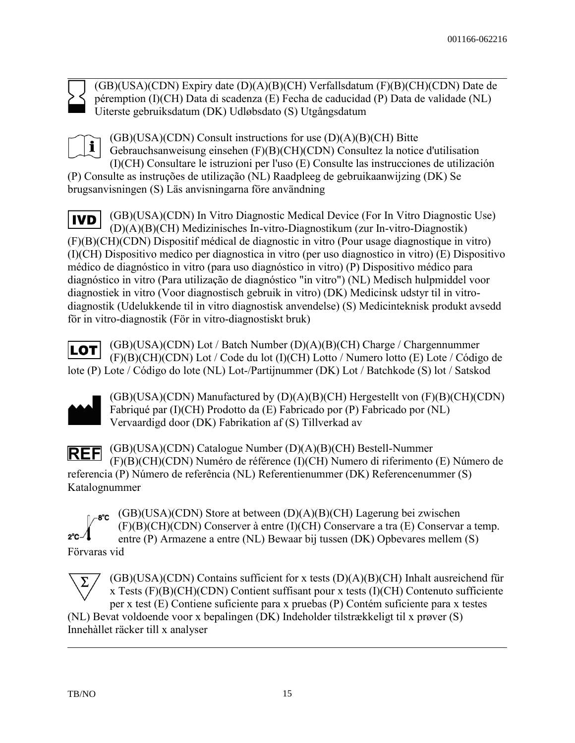

(GB)(USA)(CDN) Expiry date (D)(A)(B)(CH) Verfallsdatum (F)(B)(CH)(CDN) Date de péremption (I)(CH) Data di scadenza (E) Fecha de caducidad (P) Data de validade (NL) Uiterste gebruiksdatum (DK) Udløbsdato (S) Utgångsdatum



(GB)(USA)(CDN) Consult instructions for use (D)(A)(B)(CH) Bitte Gebrauchsanweisung einsehen (F)(B)(CH)(CDN) Consultez la notice d'utilisation (I)(CH) Consultare le istruzioni per l'uso (E) Consulte las instrucciones de utilización (P) Consulte as instruções de utilização (NL) Raadpleeg de gebruikaanwijzing (DK) Se

brugsanvisningen (S) Läs anvisningarna före användning

(GB)(USA)(CDN) In Vitro Diagnostic Medical Device (For In Vitro Diagnostic Use) **IVD** (D)(A)(B)(CH) Medizinisches In-vitro-Diagnostikum (zur In-vitro-Diagnostik) (F)(B)(CH)(CDN) Dispositif médical de diagnostic in vitro (Pour usage diagnostique in vitro) (I)(CH) Dispositivo medico per diagnostica in vitro (per uso diagnostico in vitro) (E) Dispositivo médico de diagnóstico in vitro (para uso diagnóstico in vitro) (P) Dispositivo médico para diagnóstico in vitro (Para utilização de diagnóstico "in vitro") (NL) Medisch hulpmiddel voor diagnostiek in vitro (Voor diagnostisch gebruik in vitro) (DK) Medicinsk udstyr til in vitrodiagnostik (Udelukkende til in vitro diagnostisk anvendelse) (S) Medicinteknisk produkt avsedd för in vitro-diagnostik (För in vitro-diagnostiskt bruk)

(GB)(USA)(CDN) Lot / Batch Number (D)(A)(B)(CH) Charge / Chargennummer |LOT| (F)(B)(CH)(CDN) Lot / Code du lot (I)(CH) Lotto / Numero lotto (E) Lote / Código de lote (P) Lote / Código do lote (NL) Lot-/Partijnummer (DK) Lot / Batchkode (S) lot / Satskod



 $2^{\circ}$ C $-$ 

(GB)(USA)(CDN) Manufactured by (D)(A)(B)(CH) Hergestellt von (F)(B)(CH)(CDN) Fabriqué par (I)(CH) Prodotto da (E) Fabricado por (P) Fabricado por (NL) Vervaardigd door (DK) Fabrikation af (S) Tillverkad av

(GB)(USA)(CDN) Catalogue Number (D)(A)(B)(CH) Bestell-Nummer **REF** (F)(B)(CH)(CDN) Numéro de référence (I)(CH) Numero di riferimento (E) Número de referencia (P) Número de referência (NL) Referentienummer (DK) Referencenummer (S) Katalognummer

(GB)(USA)(CDN) Store at between (D)(A)(B)(CH) Lagerung bei zwischen ി */*−8℃ (F)(B)(CH)(CDN) Conserver à entre (I)(CH) Conservare a tra (E) Conservar a temp. entre (P) Armazene a entre (NL) Bewaar bij tussen (DK) Opbevares mellem (S) Förvaras vid

(GB)(USA)(CDN) Contains sufficient for x tests (D)(A)(B)(CH) Inhalt ausreichend für Σ x Tests (F)(B)(CH)(CDN) Contient suffisant pour x tests (I)(CH) Contenuto sufficiente per x test (E) Contiene suficiente para x pruebas (P) Contém suficiente para x testes (NL) Bevat voldoende voor x bepalingen (DK) Indeholder tilstrækkeligt til x prøver (S) Innehàllet räcker till x analyser